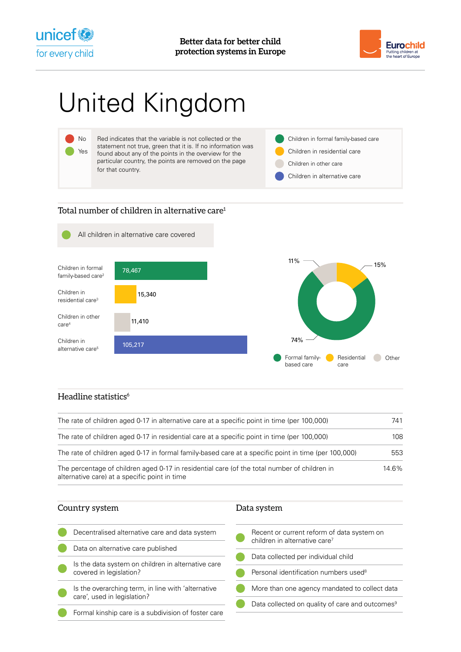



# United Kingdom



### Total number of children in alternative care<sup>1</sup>



#### Headline statistics<sup>6</sup>

| The rate of children aged 0-17 in alternative care at a specific point in time (per 100,000)<br>The rate of children aged 0-17 in residential care at a specific point in time (per 100,000)<br>The rate of children aged 0-17 in formal family-based care at a specific point in time (per 100,000) |  |  |                                                                                                                                               |       |
|------------------------------------------------------------------------------------------------------------------------------------------------------------------------------------------------------------------------------------------------------------------------------------------------------|--|--|-----------------------------------------------------------------------------------------------------------------------------------------------|-------|
|                                                                                                                                                                                                                                                                                                      |  |  | The percentage of children aged 0-17 in residential care (of the total number of children in<br>alternative care) at a specific point in time | 14.6% |

## Country system

| Decentralised alternative care and data system      |  |  |  |
|-----------------------------------------------------|--|--|--|
| Data on alternative care published                  |  |  |  |
| Is the data system on children in alternative care  |  |  |  |
| covered in legislation?                             |  |  |  |
| Is the overarching term, in line with 'alternative  |  |  |  |
| care', used in legislation?                         |  |  |  |
| Formal kinship care is a subdivision of foster care |  |  |  |
|                                                     |  |  |  |

| Recent or current reform of data system on<br>children in alternative care <sup>7</sup> |
|-----------------------------------------------------------------------------------------|
| Data collected per individual child                                                     |
| Personal identification numbers used <sup>8</sup>                                       |
| More than one agency mandated to collect data                                           |
| Data collected on quality of care and outcomes <sup>9</sup>                             |